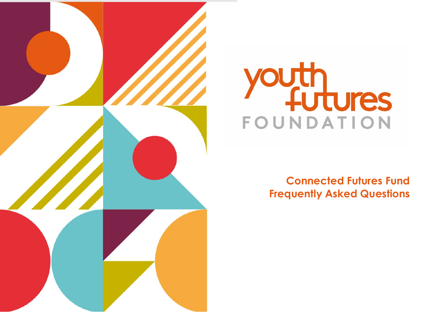

# Youth<br>FOUNDATION FOUNDATION

# **Frequently Asked Questions Connected Futures Fund**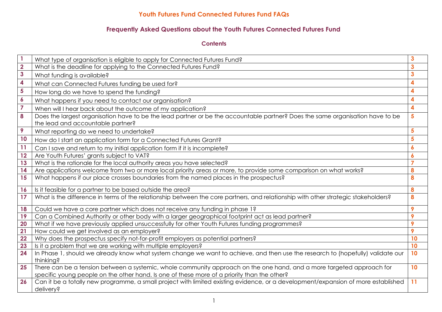# **Frequently Asked Questions about the Youth Futures Connected Futures Fund**

**Contents**

|                         | What type of organisation is eligible to apply for Connected Futures Fund?                                                         | 3                |
|-------------------------|------------------------------------------------------------------------------------------------------------------------------------|------------------|
| $\overline{\mathbf{2}}$ | What is the deadline for applying to the Connected Futures Fund?                                                                   | 3                |
| $\overline{\mathbf{3}}$ | What funding is available?                                                                                                         | 3                |
| 4                       | What can Connected Futures funding be used for?                                                                                    | 4                |
| 5                       | How long do we have to spend the funding?                                                                                          | 4                |
| $\boldsymbol{6}$        | What happens if you need to contact our organisation?                                                                              | 4                |
| $\overline{7}$          | When will I hear back about the outcome of my application?                                                                         | 4                |
| 8                       | Does the largest organisation have to be the lead partner or be the accountable partner? Does the same organisation have to be     | 5                |
|                         | the lead and accountable partner?                                                                                                  |                  |
| 9                       | What reporting do we need to undertake?                                                                                            | 5                |
| 10                      | How do I start an application form for a Connected Futures Grant?                                                                  | 5                |
| 11                      | Can I save and return to my initial application form if it is incomplete?                                                          | 6                |
| 12                      | Are Youth Futures' grants subject to VAT?                                                                                          | $\boldsymbol{6}$ |
| 13                      | What is the rationale for the local authority areas you have selected?                                                             | $\overline{7}$   |
| 14                      | Are applications welcome from two or more local priority areas or more, to provide some comparison on what works?                  | 8                |
| 15                      | What happens if our place crosses boundaries from the named places in the prospectus?                                              | 8                |
| 16                      | Is it feasible for a partner to be based outside the area?                                                                         | 8                |
| 17                      | What is the difference in terms of the relationship between the core partners, and relationship with other strategic stakeholders? | 8                |
| 18                      | Could we have a core partner which does not receive any funding in phase 1?                                                        | 9                |
| 19                      | Can a Combined Authority or other body with a larger geographical footprint act as lead partner?                                   | 9                |
| 20                      | What if we have previously applied unsuccessfully for other Youth Futures funding programmes?                                      | 9                |
| 21                      | How could we get involved as an employer?                                                                                          | 9                |
| 22                      | Why does the prospectus specify not-for-profit employers as potential partners?                                                    | 10               |
| 23                      | Is it a problem that we are working with multiple employers?                                                                       | 10               |
| 24                      | In Phase 1, should we already know what system change we want to achieve, and then use the research to (hopefully) validate our    | 10               |
|                         | thinking?                                                                                                                          |                  |
| 25                      | There can be a tension between a systemic, whole community approach on the one hand, and a more targeted approach for              | 10               |
|                         | specific young people on the other hand. Is one of these more of a priority than the other?                                        |                  |
| 26                      | Can it be a totally new programme, a small project with limited existing evidence, or a development/expansion of more established  | 11               |
|                         | delivery?                                                                                                                          |                  |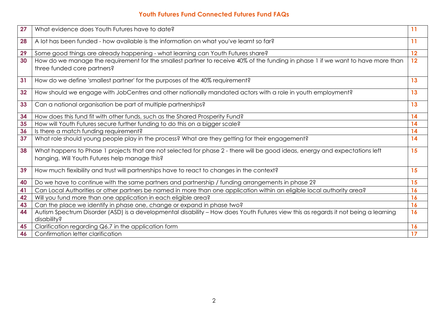| 27 | What evidence does Youth Futures have to date?                                                                                                                               | 11        |
|----|------------------------------------------------------------------------------------------------------------------------------------------------------------------------------|-----------|
| 28 | A lot has been funded - how available is the information on what you've learnt so far?                                                                                       | 11        |
| 29 | Some good things are already happening - what learning can Youth Futures share?                                                                                              | 12        |
| 30 | How do we manage the requirement for the smallest partner to receive 40% of the funding in phase 1 if we want to have more than<br>three funded core partners?               | 12        |
| 31 | How do we define 'smallest partner' for the purposes of the 40% requirement?                                                                                                 | 13        |
| 32 | How should we engage with JobCentres and other nationally mandated actors with a role in youth employment?                                                                   | 13        |
| 33 | Can a national organisation be part of multiple partnerships?                                                                                                                | 13        |
| 34 | How does this fund fit with other funds, such as the Shared Prosperity Fund?                                                                                                 | 14        |
| 35 | How will Youth Futures secure further funding to do this on a bigger scale?                                                                                                  | 14        |
| 36 | Is there a match funding requirement?                                                                                                                                        | 14        |
| 37 | What role should young people play in the process? What are they getting for their engagement?                                                                               | 14        |
| 38 | What happens to Phase 1 projects that are not selected for phase 2 - there will be good ideas, energy and expectations left<br>hanging. Will Youth Futures help manage this? | 15        |
| 39 | How much flexibility and trust will partnerships have to react to changes in the context?                                                                                    | 15        |
| 40 | Do we have to continue with the same partners and partnership / funding arrangements in phase 2?                                                                             | 15        |
| 41 | Can Local Authorities or other partners be named in more than one application within an eligible local authority area?                                                       | <b>16</b> |
| 42 | Will you fund more than one application in each eligible area?                                                                                                               | 16        |
| 43 | Can the place we identify in phase one, change or expand in phase two?                                                                                                       | 16        |
| 44 | Autism Spectrum Disorder (ASD) is a developmental disability - How does Youth Futures view this as regards it not being a learning<br>disability?                            | 16        |
| 45 | Clarification regarding Q6.7 in the application form                                                                                                                         | 16        |
| 46 | Confirmation letter clarification                                                                                                                                            | 17        |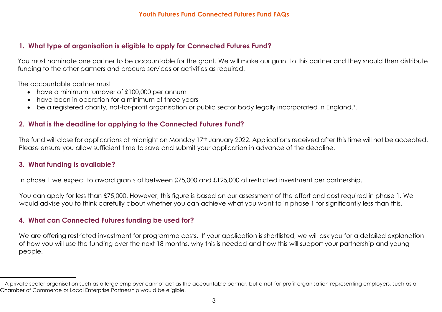# <span id="page-3-0"></span>**1. What type of organisation is eligible to apply for Connected Futures Fund?**

You must nominate one partner to be accountable for the grant. We will make our grant to this partner and they should then distribute funding to the other partners and procure services or activities as required.

The accountable partner must

- have a minimum turnover of £100,000 per annum
- have been in operation for a minimum of three years
- be a registered charity, not-for-profit organisation or public sector body legally incorporated in England.<sup>[1](#page-3-0)</sup>.

# **2. What is the deadline for applying to the Connected Futures Fund?**

The fund will close for applications at midnight on Monday 17<sup>th</sup> January 2022. Applications received after this time will not be accepted. Please ensure you allow sufficient time to save and submit your application in advance of the deadline.

# **3. What funding is available?**

In phase 1 we expect to award grants of between £75,000 and £125,000 of restricted investment per partnership.

You can apply for less than £75,000. However, this figure is based on our assessment of the effort and cost required in phase 1. We would advise you to think carefully about whether you can achieve what you want to in phase 1 for significantly less than this.

# **4. What can Connected Futures funding be used for?**

We are offering restricted investment for programme costs. If your application is shortlisted, we will ask you for a detailed explanation of how you will use the funding over the next 18 months, why this is needed and how this will support your partnership and young people.

 $^1$  A private sector organisation such as a large employer cannot act as the accountable partner, but a not-for-profit organisation representing employers, such as a Chamber of Commerce or Local Enterprise Partnership would be eligible.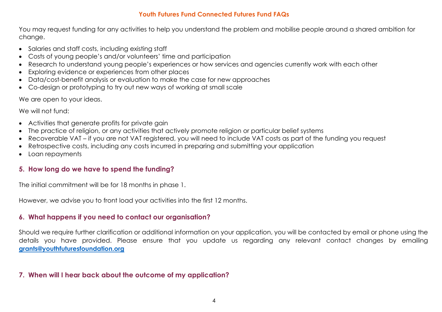You may request funding for any activities to help you understand the problem and mobilise people around a shared ambition for change.

- Salaries and staff costs, including existing staff
- Costs of young people's and/or volunteers' time and participation
- Research to understand young people's experiences or how services and agencies currently work with each other
- Exploring evidence or experiences from other places
- Data/cost-benefit analysis or evaluation to make the case for new approaches
- Co-design or prototyping to try out new ways of working at small scale

We are open to your ideas.

We will not fund:

- Activities that generate profits for private gain
- The practice of religion, or any activities that actively promote religion or particular belief systems
- Recoverable VAT if you are not VAT registered, you will need to include VAT costs as part of the funding you request
- Retrospective costs, including any costs incurred in preparing and submitting your application
- Loan repayments

# **5. How long do we have to spend the funding?**

The initial commitment will be for 18 months in phase 1.

However, we advise you to front load your activities into the first 12 months.

# **6. What happens if you need to contact our organisation?**

Should we require further clarification or additional information on your application, you will be contacted by email or phone using the details you have provided. Please ensure that you update us regarding any relevant contact changes by emailing **[grants@youthfuturesfoundation.org](mailto:grants@youthfuturesfoundation.org)**

# **7. When will I hear back about the outcome of my application?**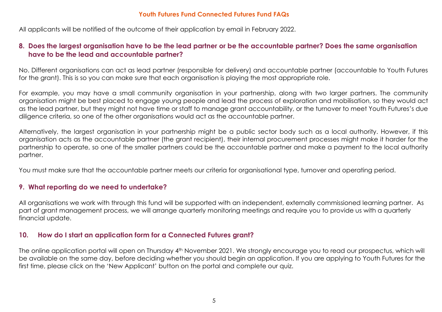All applicants will be notified of the outcome of their application by email in February 2022.

# **8. Does the largest organisation have to be the lead partner or be the accountable partner? Does the same organisation have to be the lead and accountable partner?**

No. Different organisations can act as lead partner (responsible for delivery) and accountable partner (accountable to Youth Futures for the grant). This is so you can make sure that each organisation is playing the most appropriate role.

For example, you may have a small community organisation in your partnership, along with two larger partners. The community organisation might be best placed to engage young people and lead the process of exploration and mobilisation, so they would act as the lead partner, but they might not have time or staff to manage grant accountability, or the turnover to meet Youth Futures's due diligence criteria, so one of the other organisations would act as the accountable partner.

Alternatively, the largest organisation in your partnership might be a public sector body such as a local authority. However, if this organisation acts as the accountable partner (the grant recipient), their internal procurement processes might make it harder for the partnership to operate, so one of the smaller partners could be the accountable partner and make a payment to the local authority partner.

You must make sure that the accountable partner meets our criteria for organisational type, turnover and operating period.

# **9. What reporting do we need to undertake?**

All organisations we work with through this fund will be supported with an independent, externally commissioned learning partner. As part of grant management process, we will arrange quarterly monitoring meetings and require you to provide us with a quarterly financial update.

#### **10. How do I start an application form for a Connected Futures grant?**

The online application portal will open on Thursday 4th November 2021. We strongly encourage you to read our prospectus, which will be available on the same day, before deciding whether you should begin an application. If you are applying to Youth Futures for the first time, please click on the 'New Applicant' button on the portal and complete our quiz.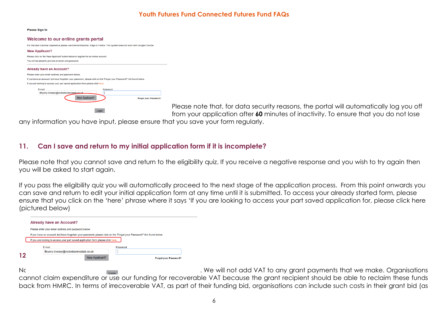**Please Sign In** 

| Welcome to our online grants portal                                                                                           |  |  |  |  |
|-------------------------------------------------------------------------------------------------------------------------------|--|--|--|--|
| For the best customer experience please use Internet Explorer, Edge or Firefox. This system does not work with Google Chrome. |  |  |  |  |
| <b>New Applicant?</b>                                                                                                         |  |  |  |  |
| Please click on the 'New Applicant' button below to register for an online account.                                           |  |  |  |  |
| You will be asked to provide an email and password.                                                                           |  |  |  |  |
| <b>Already have an Account?</b>                                                                                               |  |  |  |  |
| Please enter your email address and password below.                                                                           |  |  |  |  |
| If you have an account, but have forgotten your password, please click on the 'Forgot your Password?' link found below.       |  |  |  |  |
| If you are looking to access your part saved application form please click here.                                              |  |  |  |  |
| E-mail<br>Password                                                                                                            |  |  |  |  |
| Brvony.livesey@rocketsciencelab.co.uk                                                                                         |  |  |  |  |
| New Applicant?<br>Forgot your Password?                                                                                       |  |  |  |  |
|                                                                                                                               |  |  |  |  |
| Login                                                                                                                         |  |  |  |  |

Please note that, for data security reasons, the portal will automatically log you off from your application after **60** minutes of inactivity. To ensure that you do not lose

any information you have input, please ensure that you save your form regularly.

# **11. Can I save and return to my initial application form if it is incomplete?**

Please note that you cannot save and return to the eligibility quiz. If you receive a negative response and you wish to try again then you will be asked to start again.

If you pass the eligibility quiz you will automatically proceed to the next stage of the application process. From this point onwards you can save and return to edit your initial application form at any time until it is submitted. To access your already started form, please ensure that you click on the 'here' phrase where it says 'If you are looking to access your part saved application for, please click here (pictured below)



No, *No, Tomas Foundation grants are not subject to VAT* to any grant payments that we make. Organisations cannot claim expenditure or use our funding for recoverable VAT because the grant recipient should be able to reclaim these funds back from HMRC. In terms of irrecoverable VAT, as part of their funding bid, organisations can include such costs in their grant bid (as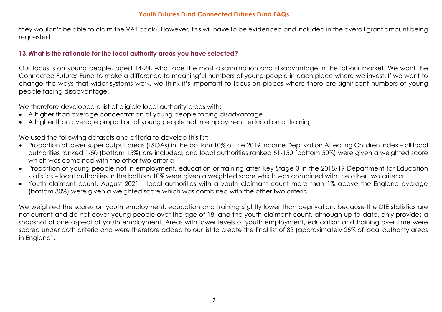they wouldn't be able to claim the VAT back). However, this will have to be evidenced and included in the overall grant amount being requested.

#### **13.What is the rationale for the local authority areas you have selected?**

Our focus is on young people, aged 14-24, who face the most discrimination and disadvantage in the labour market. We want the Connected Futures Fund to make a difference to meaningful numbers of young people in each place where we invest. If we want to change the ways that wider systems work, we think it's important to focus on places where there are significant numbers of young people facing disadvantage.

We therefore developed a list of eligible local authority areas with:

- A higher than average concentration of young people facing disadvantage
- A higher than average proportion of young people not in employment, education or training

We used the following datasets and criteria to develop this list:

- Proportion of lower super output areas (LSOAs) in the bottom 10% of the 2019 Income Deprivation Affecting Children Index all local authorities ranked 1-50 (bottom 15%) are included, and local authorities ranked 51-150 (bottom 50%) were given a weighted score which was combined with the other two criteria
- Proportion of young people not in employment, education or training after Key Stage 3 in the 2018/19 Department for Education statistics – local authorities in the bottom 10% were given a weighted score which was combined with the other two criteria
- Youth claimant count, August 2021 local authorities with a youth claimant count more than 1% above the England average (bottom 30%) were given a weighted score which was combined with the other two criteria

We weighted the scores on youth employment, education and training slightly lower than deprivation, because the DfE statistics are not current and do not cover young people over the age of 18, and the youth claimant count, although up-to-date, only provides a snapshot of one aspect of youth employment. Areas with lower levels of youth employment, education and training over time were scored under both criteria and were therefore added to our list to create the final list of 83 (approximately 25% of local authority areas in England).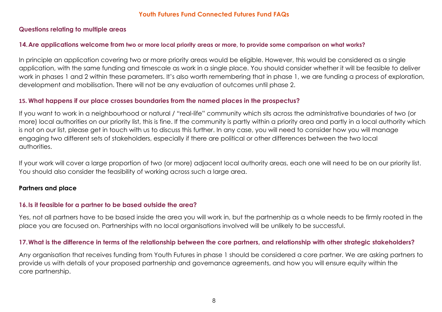#### **Questions relating to multiple areas**

#### **14.Are applications welcome from two or more local priority areas or more, to provide some comparison on what works?**

In principle an application covering two or more priority areas would be eligible. However, this would be considered as a single application, with the same funding and timescale as work in a single place. You should consider whether it will be feasible to deliver work in phases 1 and 2 within these parameters. It's also worth remembering that in phase 1, we are funding a process of exploration, development and mobilisation. There will not be any evaluation of outcomes until phase 2.

### **15. What happens if our place crosses boundaries from the named places in the prospectus?**

If you want to work in a neighbourhood or natural / "real-life" community which sits across the administrative boundaries of two (or more) local authorities on our priority list, this is fine. If the community is partly within a priority area and partly in a local authority which is not on our list, please get in touch with us to discuss this further. In any case, you will need to consider how you will manage engaging two different sets of stakeholders, especially if there are political or other differences between the two local authorities.

If your work will cover a large proportion of two (or more) adjacent local authority areas, each one will need to be on our priority list. You should also consider the feasibility of working across such a large area.

# **Partners and place**

# **16.Is it feasible for a partner to be based outside the area?**

Yes, not all partners have to be based inside the area you will work in, but the partnership as a whole needs to be firmly rooted in the place you are focused on. Partnerships with no local organisations involved will be unlikely to be successful.

# **17.What is the difference in terms of the relationship between the core partners, and relationship with other strategic stakeholders?**

Any organisation that receives funding from Youth Futures in phase 1 should be considered a core partner. We are asking partners to provide us with details of your proposed partnership and governance agreements, and how you will ensure equity within the core partnership.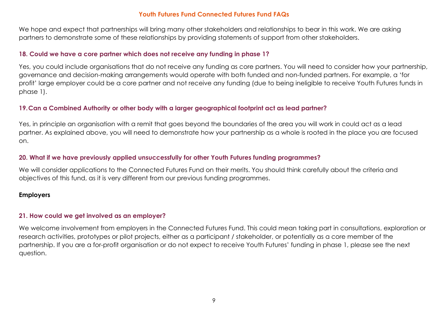We hope and expect that partnerships will bring many other stakeholders and relationships to bear in this work. We are asking partners to demonstrate some of these relationships by providing statements of support from other stakeholders.

#### **18. Could we have a core partner which does not receive any funding in phase 1?**

Yes, you could include organisations that do not receive any funding as core partners. You will need to consider how your partnership, governance and decision-making arrangements would operate with both funded and non-funded partners. For example, a 'for profit' large employer could be a core partner and not receive any funding (due to being ineligible to receive Youth Futures funds in phase 1).

#### **19.Can a Combined Authority or other body with a larger geographical footprint act as lead partner?**

Yes, in principle an organisation with a remit that goes beyond the boundaries of the area you will work in could act as a lead partner. As explained above, you will need to demonstrate how your partnership as a whole is rooted in the place you are focused on.

# **20. What if we have previously applied unsuccessfully for other Youth Futures funding programmes?**

We will consider applications to the Connected Futures Fund on their merits. You should think carefully about the criteria and objectives of this fund, as it is very different from our previous funding programmes.

#### **Employers**

# **21. How could we get involved as an employer?**

We welcome involvement from employers in the Connected Futures Fund. This could mean taking part in consultations, exploration or research activities, prototypes or pilot projects, either as a participant / stakeholder, or potentially as a core member of the partnership. If you are a for-profit organisation or do not expect to receive Youth Futures' funding in phase 1, please see the next question.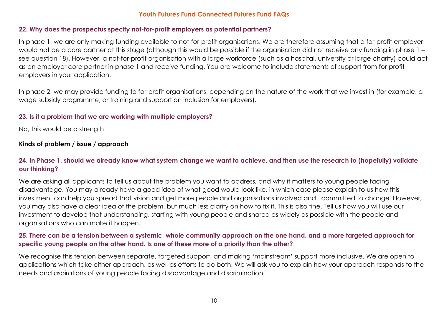#### **22. Why does the prospectus specify not-for-profit employers as potential partners?**

In phase 1, we are only making funding available to not-for-profit organisations. We are therefore assuming that a for-profit employer would not be a core partner at this stage (although this would be possible if the organisation did not receive any funding in phase 1 – see question 18). However, a not-for-profit organisation with a large workforce (such as a hospital, university or large charity) could act as an employer core partner in phase 1 and receive funding. You are welcome to include statements of support from for-profit employers in your application.

In phase 2, we may provide funding to for-profit organisations, depending on the nature of the work that we invest in (for example, a wage subsidy programme, or training and support on inclusion for employers).

### **23. Is it a problem that we are working with multiple employers?**

No, this would be a strength

# **Kinds of problem / issue / approach**

# **24. In Phase 1, should we already know what system change we want to achieve, and then use the research to (hopefully) validate our thinking?**

We are asking all applicants to tell us about the problem you want to address, and why it matters to young people facing disadvantage. You may already have a good idea of what good would look like, in which case please explain to us how this investment can help you spread that vision and get more people and organisations involved and committed to change. However, you may also have a clear idea of the problem, but much less clarity on how to fix it. This is also fine. Tell us how you will use our investment to develop that understanding, starting with young people and shared as widely as possible with the people and organisations who can make it happen.

# **25. There can be a tension between a systemic, whole community approach on the one hand, and a more targeted approach for specific young people on the other hand. Is one of these more of a priority than the other?**

We recognise this tension between separate, targeted support, and making 'mainstream' support more inclusive. We are open to applications which take either approach, as well as efforts to do both. We will ask you to explain how your approach responds to the needs and aspirations of young people facing disadvantage and discrimination.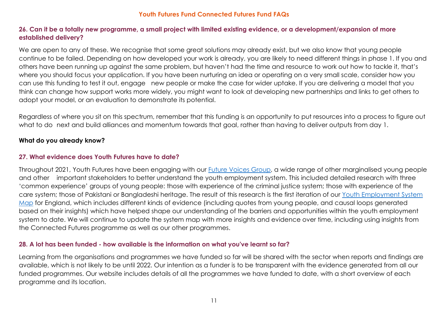### **26. Can it be a totally new programme, a small project with limited existing evidence, or a development/expansion of more established delivery?**

We are open to any of these. We recognise that some great solutions may already exist, but we also know that young people continue to be failed. Depending on how developed your work is already, you are likely to need different things in phase 1. If you and others have been running up against the same problem, but haven't had the time and resource to work out how to tackle it, that's where you should focus your application. If you have been nurturing an idea or operating on a very small scale, consider how you can use this funding to test it out, engage new people or make the case for wider uptake. If you are delivering a model that you think can change how support works more widely, you might want to look at developing new partnerships and links to get others to adopt your model, or an evaluation to demonstrate its potential.

Regardless of where you sit on this spectrum, remember that this funding is an opportunity to put resources into a process to figure out what to do next and build alliances and momentum towards that goal, rather than having to deliver outputs from day 1.

#### **What do you already know?**

#### **27. What evidence does Youth Futures have to date?**

Throughout 2021, Youth Futures have been engaging with our [Future Voices Group,](https://youthfuturesfoundation.org/our-work/ignite/future-voices-ambassadors/) a wide range of other marginalised young people and other important stakeholders to better understand the youth employment system. This included detailed research with three 'common experience' groups of young people: those with experience of the criminal justice system; those with experience of the care system; those of Pakistani or Bangladeshi heritage. The result of this research is the first iteration of our [Youth Employment System](https://youthfuturesfoundation.org/our-work/identify/youth-employment-system-map/)  [Map](https://youthfuturesfoundation.org/our-work/identify/youth-employment-system-map/) for England, which includes different kinds of evidence (including quotes from young people, and causal loops generated based on their insights) which have helped shape our understanding of the barriers and opportunities within the youth employment system to date. We will continue to update the system map with more insights and evidence over time, including using insights from the Connected Futures programme as well as our other programmes.

#### **28. A lot has been funded - how available is the information on what you've learnt so far?**

Learning from the organisations and programmes we have funded so far will be shared with the sector when reports and findings are available, which is not likely to be until 2022. Our intention as a funder is to be transparent with the evidence generated from all our funded programmes. Our website includes details of all the programmes we have funded to date, with a short overview of each programme and its location.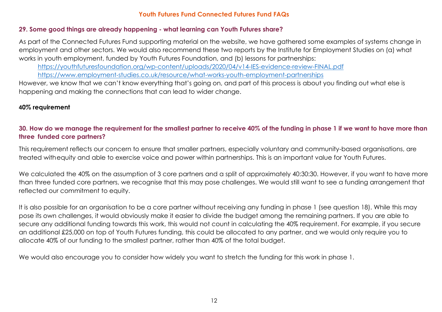#### **29. Some good things are already happening - what learning can Youth Futures share?**

As part of the Connected Futures Fund supporting material on the website, we have gathered some examples of systems change in employment and other sectors. We would also recommend these two reports by the Institute for Employment Studies on (a) what works in youth employment, funded by Youth Futures Foundation, and (b) lessons for partnerships:

<https://youthfuturesfoundation.org/wp-content/uploads/2020/04/v14-IES-evidence-review-FINAL.pdf>

<https://www.employment-studies.co.uk/resource/what-works-youth-employment-partnerships>

However, we know that we can't know everything that's going on, and part of this process is about you finding out what else is happening and making the connections that can lead to wider change.

# **40% requirement**

**30. How do we manage the requirement for the smallest partner to receive 40% of the funding in phase 1 if we want to have more than three funded core partners?**

This requirement reflects our concern to ensure that smaller partners, especially voluntary and community-based organisations, are treated withequity and able to exercise voice and power within partnerships. This is an important value for Youth Futures.

We calculated the 40% on the assumption of 3 core partners and a split of approximately 40:30:30. However, if you want to have more than three funded core partners, we recognise that this may pose challenges. We would still want to see a funding arrangement that reflected our commitment to equity.

It is also possible for an organisation to be a core partner without receiving any funding in phase 1 (see question 18). While this may pose its own challenges, it would obviously make it easier to divide the budget among the remaining partners. If you are able to secure any additional funding towards this work, this would not count in calculating the 40% requirement. For example, if you secure an additional £25,000 on top of Youth Futures funding, this could be allocated to any partner, and we would only require you to allocate 40% of our funding to the smallest partner, rather than 40% of the total budget.

We would also encourage you to consider how widely you want to stretch the funding for this work in phase 1.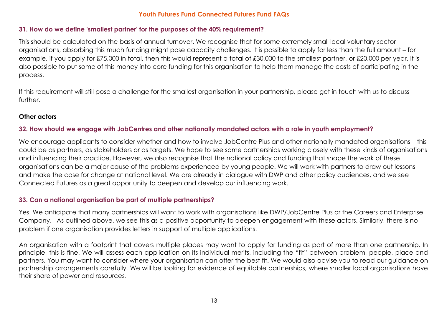#### **31. How do we define 'smallest partner' for the purposes of the 40% requirement?**

This should be calculated on the basis of annual turnover. We recognise that for some extremely small local voluntary sector organisations, absorbing this much funding might pose capacity challenges. It is possible to apply for less than the full amount – for example, if you apply for £75,000 in total, then this would represent a total of £30,000 to the smallest partner, or £20,000 per year. It is also possible to put some of this money into core funding for this organisation to help them manage the costs of participating in the process.

If this requirement will still pose a challenge for the smallest organisation in your partnership, please get in touch with us to discuss further.

### **Other actors**

# **32. How should we engage with JobCentres and other nationally mandated actors with a role in youth employment?**

We encourage applicants to consider whether and how to involve JobCentre Plus and other nationally mandated organisations – this could be as partners, as stakeholders or as targets. We hope to see some partnerships working closely with these kinds of organisations and influencing their practice. However, we also recognise that the national policy and funding that shape the work of these organisations can be a major cause of the problems experienced by young people. We will work with partners to draw out lessons and make the case for change at national level. We are already in dialogue with DWP and other policy audiences, and we see Connected Futures as a great opportunity to deepen and develop our influencing work.

# **33. Can a national organisation be part of multiple partnerships?**

Yes. We anticipate that many partnerships will want to work with organisations like DWP/JobCentre Plus or the Careers and Enterprise Company. As outlined above, we see this as a positive opportunity to deepen engagement with these actors. Similarly, there is no problem if one organisation provides letters in support of multiple applications.

An organisation with a footprint that covers multiple places may want to apply for funding as part of more than one partnership. In principle, this is fine. We will assess each application on its individual merits, including the "fit" between problem, people, place and partners. You may want to consider where your organisation can offer the best fit. We would also advise you to read our guidance on partnership arrangements carefully. We will be looking for evidence of equitable partnerships, where smaller local organisations have their share of power and resources*.*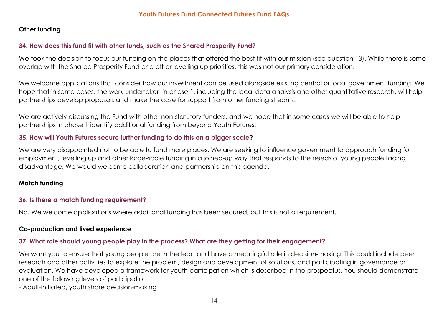# **Other funding**

# **34. How does this fund fit with other funds, such as the Shared Prosperity Fund?**

We took the decision to focus our funding on the places that offered the best fit with our mission (see question 13). While there is some overlap with the Shared Prosperity Fund and other levelling up priorities, this was not our primary consideration.

We welcome applications that consider how our investment can be used alongside existing central or local government funding. We hope that in some cases, the work undertaken in phase 1, including the local data analysis and other quantitative research, will help partnerships develop proposals and make the case for support from other funding streams.

We are actively discussing the Fund with other non-statutory funders, and we hope that in some cases we will be able to help partnerships in phase 1 identify additional funding from beyond Youth Futures.

# **35. How will Youth Futures secure further funding to do this on a bigger scale?**

We are very disappointed not to be able to fund more places. We are seeking to influence government to approach funding for employment, levelling up and other large-scale funding in a joined-up way that responds to the needs of young people facing disadvantage. We would welcome collaboration and partnership on this agenda.

# **Match funding**

# **36. Is there a match funding requirement?**

No. We welcome applications where additional funding has been secured, but this is not a requirement.

# **Co-production and lived experience**

# **37. What role should young people play in the process? What are they getting for their engagement?**

We want you to ensure that young people are in the lead and have a meaningful role in decision-making. This could include peer research and other activities to explore the problem, design and development of solutions, and participating in governance or evaluation. We have developed a framework for youth participation which is described in the prospectus. You should demonstrate one of the following levels of participation:

- Adult-initiated, youth share decision-making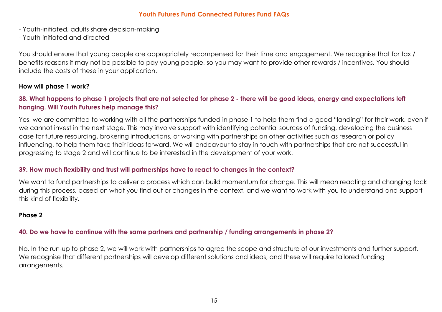- Youth-initiated, adults share decision-making
- Youth-initiated and directed

You should ensure that young people are appropriately recompensed for their time and engagement. We recognise that for tax / benefits reasons it may not be possible to pay young people, so you may want to provide other rewards / incentives. You should include the costs of these in your application.

### **How will phase 1 work?**

# **38. What happens to phase 1 projects that are not selected for phase 2 - there will be good ideas, energy and expectations left hanging. Will Youth Futures help manage this?**

Yes, we are committed to working with all the partnerships funded in phase 1 to help them find a good "landing" for their work, even if we cannot invest in the next stage. This may involve support with identifying potential sources of funding, developing the business case for future resourcing, brokering introductions, or working with partnerships on other activities such as research or policy influencing, to help them take their ideas forward. We will endeavour to stay in touch with partnerships that are not successful in progressing to stage 2 and will continue to be interested in the development of your work.

# **39. How much flexibility and trust will partnerships have to react to changes in the context?**

We want to fund partnerships to deliver a process which can build momentum for change. This will mean reacting and changing tack during this process, based on what you find out or changes in the context, and we want to work with you to understand and support this kind of flexibility.

# **Phase 2**

# **40. Do we have to continue with the same partners and partnership / funding arrangements in phase 2?**

No. In the run-up to phase 2, we will work with partnerships to agree the scope and structure of our investments and further support. We recognise that different partnerships will develop different solutions and ideas, and these will require tailored funding arrangements.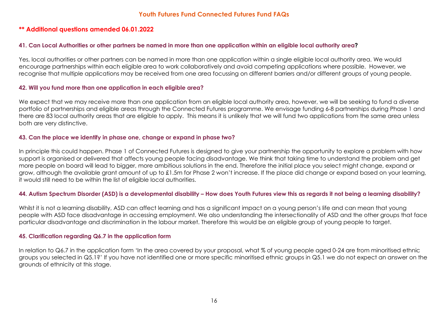#### **\*\* Additional questions amended 06.01.2022**

#### **41. Can Local Authorities or other partners be named in more than one application within an eligible local authority area?**

Yes, local authorities or other partners can be named in more than one application within a single eligible local authority area. We would encourage partnerships within each eligible area to work collaboratively and avoid competing applications where possible. However, we recognise that multiple applications may be received from one area focussing on different barriers and/or different groups of young people.

#### **42. Will you fund more than one application in each eligible area?**

We expect that we may receive more than one application from an eligible local authority area, however, we will be seeking to fund a diverse portfolio of partnerships and eligible areas through the Connected Futures programme. We envisage funding 6-8 partnerships during Phase 1 and there are 83 local authority areas that are eligible to apply. This means it is unlikely that we will fund two applications from the same area unless both are very distinctive.

#### **43. Can the place we identify in phase one, change or expand in phase two?**

In principle this could happen. Phase 1 of Connected Futures is designed to give your partnership the opportunity to explore a problem with how support is organised or delivered that affects young people facing disadvantage. We think that taking time to understand the problem and get more people on board will lead to bigger, more ambitious solutions in the end. Therefore the initial place you select might change, expand or grow, although the available grant amount of up to £1.5m for Phase 2 won't increase. If the place did change or expand based on your learning, it would still need to be within the list of eligible local authorities.

#### **44. Autism Spectrum Disorder (ASD) is a developmental disability – How does Youth Futures view this as regards it not being a learning disability?**

Whilst it is not a learning disability, ASD can affect learning and has a significant impact on a young person's life and can mean that young people with ASD face disadvantage in accessing employment. We also understanding the intersectionality of ASD and the other groups that face particular disadvantage and discrimination in the labour market. Therefore this would be an eligible group of young people to target.

#### **45. Clarification regarding Q6.7 in the application form**

In relation to Q6.7 in the application form 'In the area covered by your proposal, what % of young people aged 0-24 are from minoritised ethnic groups you selected in Q5.1?' If you have not identified one or more specific minoritised ethnic groups in Q5.1 we do not expect an answer on the grounds of ethnicity at this stage.